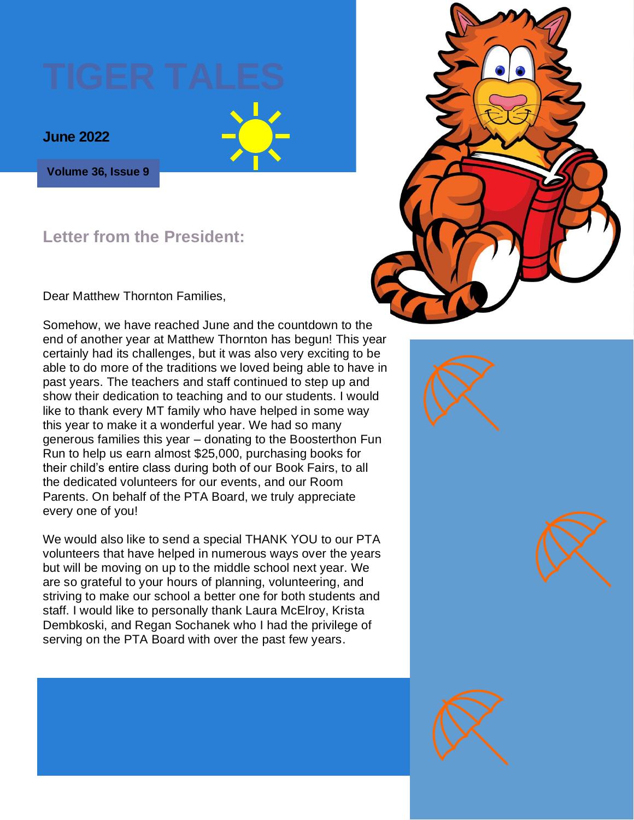

**Volume 36, Issue 9**

#### **Letter from the President:**

Dear Matthew Thornton Families,

Somehow, we have reached June and the countdown to the end of another year at Matthew Thornton has begun! This year certainly had its challenges, but it was also very exciting to be able to do more of the traditions we loved being able to have in past years. The teachers and staff continued to step up and show their dedication to teaching and to our students. I would like to thank every MT family who have helped in some way this year to make it a wonderful year. We had so many generous families this year – donating to the Boosterthon Fun Run to help us earn almost \$25,000, purchasing books for their child's entire class during both of our Book Fairs, to all the dedicated volunteers for our events, and our Room Parents. On behalf of the PTA Board, we truly appreciate every one of you!

We would also like to send a special THANK YOU to our PTA volunteers that have helped in numerous ways over the years but will be moving on up to the middle school next year. We are so grateful to your hours of planning, volunteering, and striving to make our school a better one for both students and staff. I would like to personally thank Laura McElroy, Krista Dembkoski, and Regan Sochanek who I had the privilege of serving on the PTA Board with over the past few years.

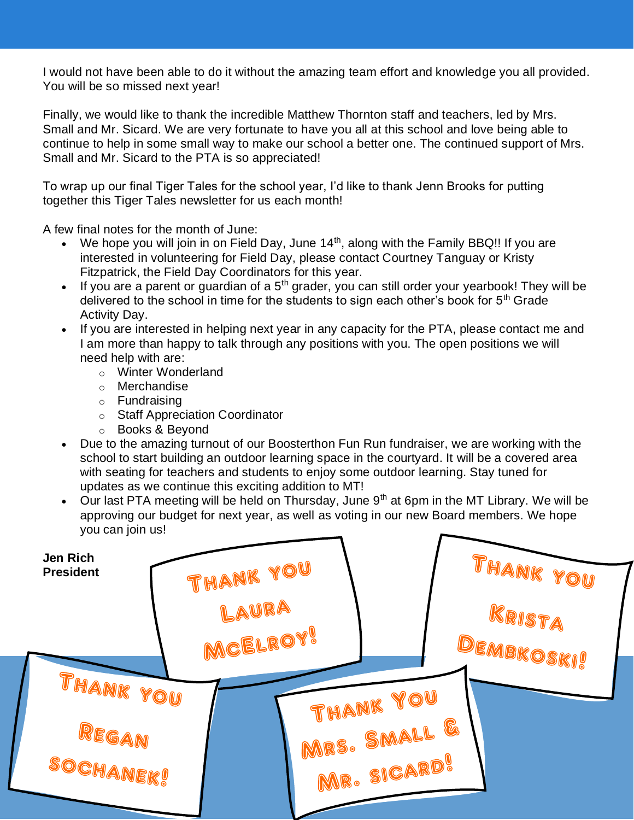I would not have been able to do it without the amazing team effort and knowledge you all provided. You will be so missed next year!

Finally, we would like to thank the incredible Matthew Thornton staff and teachers, led by Mrs. Small and Mr. Sicard. We are very fortunate to have you all at this school and love being able to continue to help in some small way to make our school a better one. The continued support of Mrs. Small and Mr. Sicard to the PTA is so appreciated!

To wrap up our final Tiger Tales for the school year, I'd like to thank Jenn Brooks for putting together this Tiger Tales newsletter for us each month!

A few final notes for the month of June:

- We hope you will join in on Field Day, June  $14<sup>th</sup>$ , along with the Family BBQ!! If you are interested in volunteering for Field Day, please contact Courtney Tanguay or Kristy Fitzpatrick, the Field Day Coordinators for this year.
- $\bullet$  If you are a parent or guardian of a  $5^{th}$  grader, you can still order your yearbook! They will be delivered to the school in time for the students to sign each other's book for  $5<sup>th</sup>$  Grade Activity Day.
- If you are interested in helping next year in any capacity for the PTA, please contact me and I am more than happy to talk through any positions with you. The open positions we will need help with are:
	- o Winter Wonderland
	- o Merchandise
	- o Fundraising
	- o Staff Appreciation Coordinator
	- o Books & Beyond
- Due to the amazing turnout of our Boosterthon Fun Run fundraiser, we are working with the school to start building an outdoor learning space in the courtyard. It will be a covered area with seating for teachers and students to enjoy some outdoor learning. Stay tuned for updates as we continue this exciting addition to MT!
- Our last PTA meeting will be held on Thursday, June  $9<sup>th</sup>$  at 6pm in the MT Library. We will be approving our budget for next year, as well as voting in our new Board members. We hope you can join us!

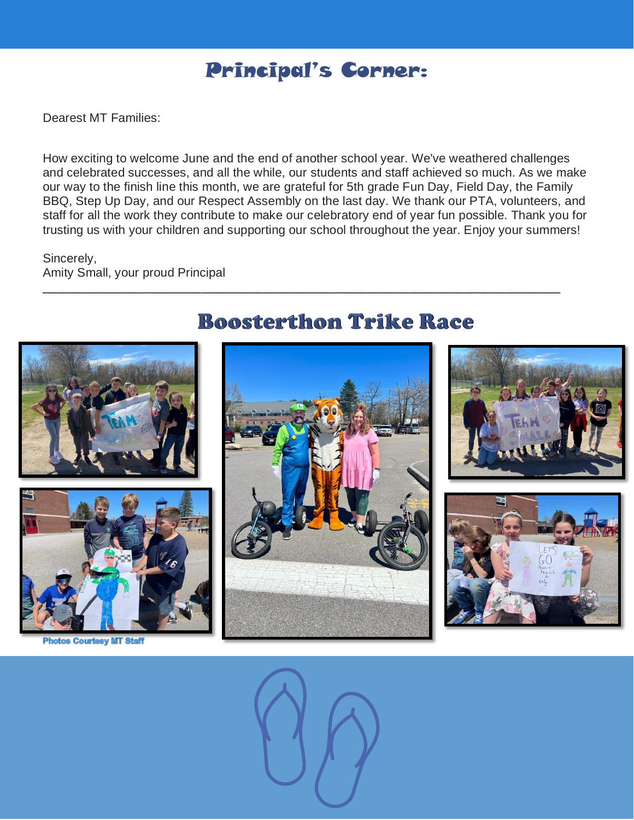## Principal's Corner:

Dearest MT Families:

How exciting to welcome June and the end of another school year. We've weathered challenges and celebrated successes, and all the while, our students and staff achieved so much. As we make our way to the finish line this month, we are grateful for 5th grade Fun Day, Field Day, the Family BBQ, Step Up Day, and our Respect Assembly on the last day. We thank our PTA, volunteers, and staff for all the work they contribute to make our celebratory end of year fun possible. Thank you for trusting us with your children and supporting our school throughout the year. Enjoy your summers!

\_\_\_\_\_\_\_\_\_\_\_\_\_\_\_\_\_\_\_\_\_\_\_\_\_\_\_\_\_\_\_\_\_\_\_\_\_\_\_\_\_\_\_\_\_\_\_\_\_\_\_\_\_\_\_\_\_\_\_\_\_\_\_\_\_\_\_\_\_\_\_\_\_\_\_

Sincerely, Amity Small, your proud Principal



**Photos Courtesy MT Staff** 

### **Boosterthon Trike Race**







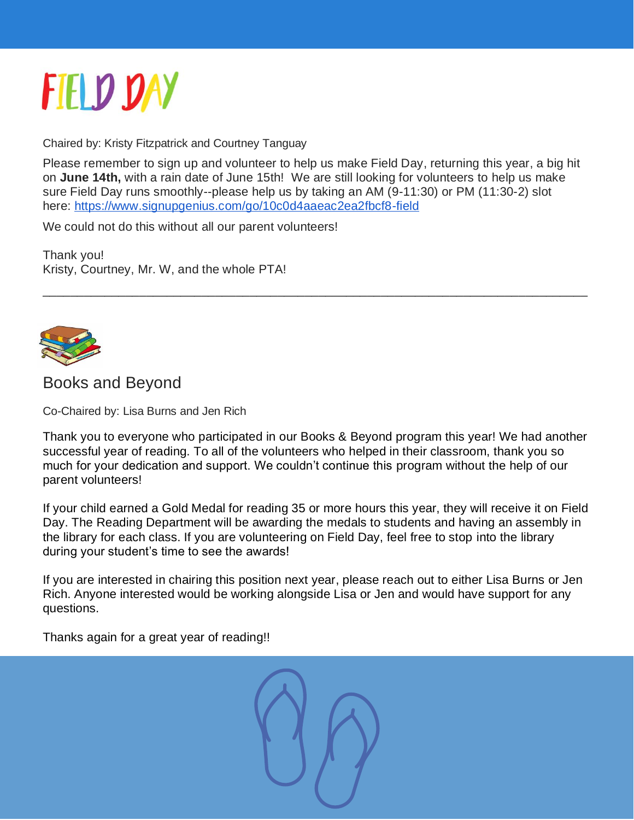

Chaired by: Kristy Fitzpatrick and Courtney Tanguay

Please remember to sign up and volunteer to help us make Field Day, returning this year, a big hit on **June 14th,** with a rain date of June 15th! We are still looking for volunteers to help us make sure Field Day runs smoothly--please help us by taking an AM (9-11:30) or PM (11:30-2) slot here: [https://www.signupgenius.com/go/10c0d4aaeac2ea2fbcf8-field](http://track.spe.schoolmessenger.com/f/a/FqtEydo8e5XT1lFsNXR5gw~~/AAAAAQA~/RgRkbKeoP0Q6aHR0cHM6Ly93d3cuc2lnbnVwZ2VuaXVzLmNvbS9nby8xMGMwZDRhYWVhYzJlYTJmYmNmOC1maWVsZFcHc2Nob29sbUIKYoYodItiazjghFIUYnJvb2tzLmptMUBnbWFpbC5jb21YBAAAAAE~)

\_\_\_\_\_\_\_\_\_\_\_\_\_\_\_\_\_\_\_\_\_\_\_\_\_\_\_\_\_\_\_\_\_\_\_\_\_\_\_\_\_\_\_\_\_\_\_\_\_\_\_\_\_\_\_\_\_\_\_\_\_\_\_\_\_\_\_\_\_\_\_\_\_\_\_\_\_\_\_

We could not do this without all our parent volunteers!

Thank you! Kristy, Courtney, Mr. W, and the whole PTA!



[Books](http://the1709blog.blogspot.com/2013/03/supreme-court-says-copyright-law-does.html) and Beyond

Co-Chaired by: Lisa Burns and Jen Rich

Tha[nk you](https://creativecommons.org/licenses/by/3.0/) to everyone who participated in our Books & Beyond program this year! We had another [suc](https://creativecommons.org/licenses/by/3.0/)cessful year of reading. To all of the volunteers who helped in their classroom, thank you so much for your dedication and support. We couldn't continue this program without the help of our parent volunteers!

If your child earned a Gold Medal for reading 35 or more hours this year, they will receive it on Field Day. The Reading Department will be awarding the medals to students and having an assembly in the library for each class. If you are volunteering on Field Day, feel free to stop into the library during your student's time to see the awards!

If you are interested in chairing this position next year, please reach out to either Lisa Burns or Jen Rich. Anyone interested would be working alongside Lisa or Jen and would have support for any questions.

Thanks again for a great year of reading!!